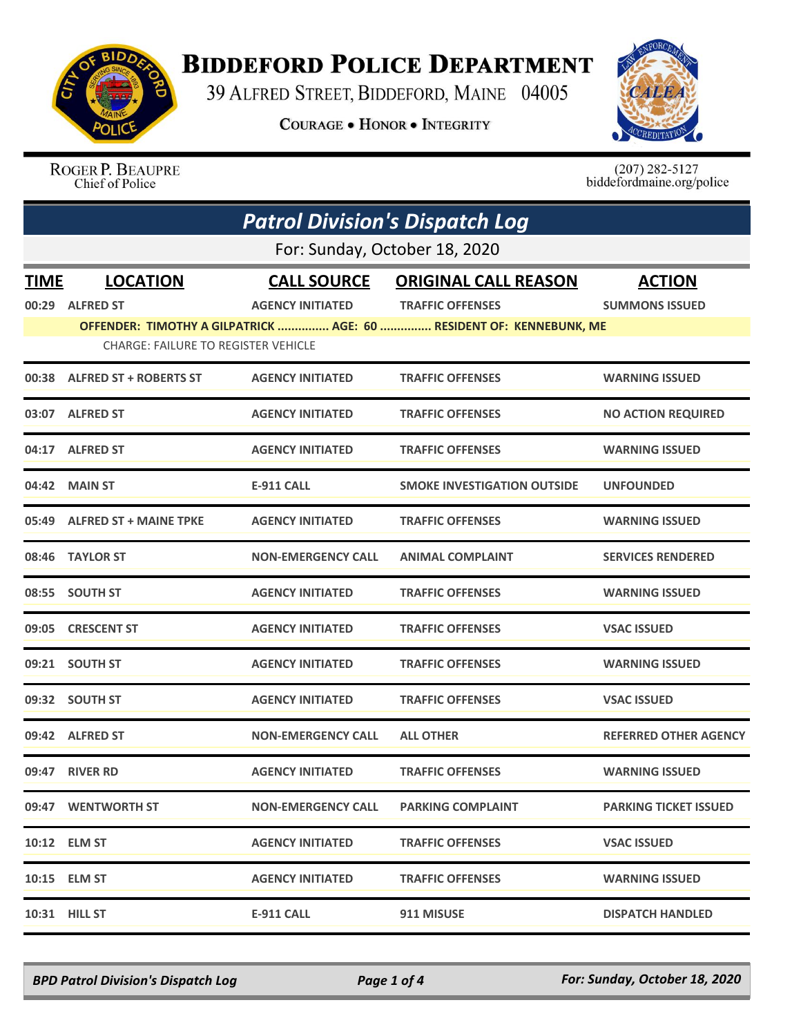

## **BIDDEFORD POLICE DEPARTMENT**

39 ALFRED STREET, BIDDEFORD, MAINE 04005

**COURAGE . HONOR . INTEGRITY** 



ROGER P. BEAUPRE Chief of Police

 $(207)$  282-5127 biddefordmaine.org/police

|             | <b>Patrol Division's Dispatch Log</b>      |                           |                                                                     |                              |  |
|-------------|--------------------------------------------|---------------------------|---------------------------------------------------------------------|------------------------------|--|
|             | For: Sunday, October 18, 2020              |                           |                                                                     |                              |  |
| <b>TIME</b> | <b>LOCATION</b>                            | <b>CALL SOURCE</b>        | <b>ORIGINAL CALL REASON</b>                                         | <b>ACTION</b>                |  |
|             | 00:29 ALFRED ST                            | <b>AGENCY INITIATED</b>   | <b>TRAFFIC OFFENSES</b>                                             | <b>SUMMONS ISSUED</b>        |  |
|             |                                            |                           | OFFENDER: TIMOTHY A GILPATRICK  AGE: 60  RESIDENT OF: KENNEBUNK, ME |                              |  |
|             | <b>CHARGE: FAILURE TO REGISTER VEHICLE</b> |                           |                                                                     |                              |  |
|             | 00:38 ALFRED ST + ROBERTS ST               | <b>AGENCY INITIATED</b>   | <b>TRAFFIC OFFENSES</b>                                             | <b>WARNING ISSUED</b>        |  |
|             | 03:07 ALFRED ST                            | <b>AGENCY INITIATED</b>   | <b>TRAFFIC OFFENSES</b>                                             | <b>NO ACTION REQUIRED</b>    |  |
|             | 04:17 ALFRED ST                            | <b>AGENCY INITIATED</b>   | <b>TRAFFIC OFFENSES</b>                                             | <b>WARNING ISSUED</b>        |  |
|             | 04:42 MAIN ST                              | <b>E-911 CALL</b>         | <b>SMOKE INVESTIGATION OUTSIDE</b>                                  | <b>UNFOUNDED</b>             |  |
|             | 05:49 ALFRED ST + MAINE TPKE               | <b>AGENCY INITIATED</b>   | <b>TRAFFIC OFFENSES</b>                                             | <b>WARNING ISSUED</b>        |  |
|             | 08:46 TAYLOR ST                            | <b>NON-EMERGENCY CALL</b> | <b>ANIMAL COMPLAINT</b>                                             | <b>SERVICES RENDERED</b>     |  |
|             | 08:55 SOUTH ST                             | <b>AGENCY INITIATED</b>   | <b>TRAFFIC OFFENSES</b>                                             | <b>WARNING ISSUED</b>        |  |
|             | 09:05 CRESCENT ST                          | <b>AGENCY INITIATED</b>   | <b>TRAFFIC OFFENSES</b>                                             | <b>VSAC ISSUED</b>           |  |
|             | 09:21 SOUTH ST                             | <b>AGENCY INITIATED</b>   | <b>TRAFFIC OFFENSES</b>                                             | <b>WARNING ISSUED</b>        |  |
|             | 09:32 SOUTH ST                             | <b>AGENCY INITIATED</b>   | <b>TRAFFIC OFFENSES</b>                                             | <b>VSAC ISSUED</b>           |  |
|             | 09:42 ALFRED ST                            | <b>NON-EMERGENCY CALL</b> | <b>ALL OTHER</b>                                                    | <b>REFERRED OTHER AGENCY</b> |  |
|             | 09:47 RIVER RD                             | <b>AGENCY INITIATED</b>   | <b>TRAFFIC OFFENSES</b>                                             | <b>WARNING ISSUED</b>        |  |
|             | 09:47 WENTWORTH ST                         | <b>NON-EMERGENCY CALL</b> | <b>PARKING COMPLAINT</b>                                            | <b>PARKING TICKET ISSUED</b> |  |
|             | 10:12 ELM ST                               | <b>AGENCY INITIATED</b>   | <b>TRAFFIC OFFENSES</b>                                             | <b>VSAC ISSUED</b>           |  |
|             | 10:15 ELM ST                               | <b>AGENCY INITIATED</b>   | <b>TRAFFIC OFFENSES</b>                                             | <b>WARNING ISSUED</b>        |  |
|             | 10:31 HILL ST                              | <b>E-911 CALL</b>         | 911 MISUSE                                                          | <b>DISPATCH HANDLED</b>      |  |

*BPD Patrol Division's Dispatch Log Page 1 of 4 For: Sunday, October 18, 2020*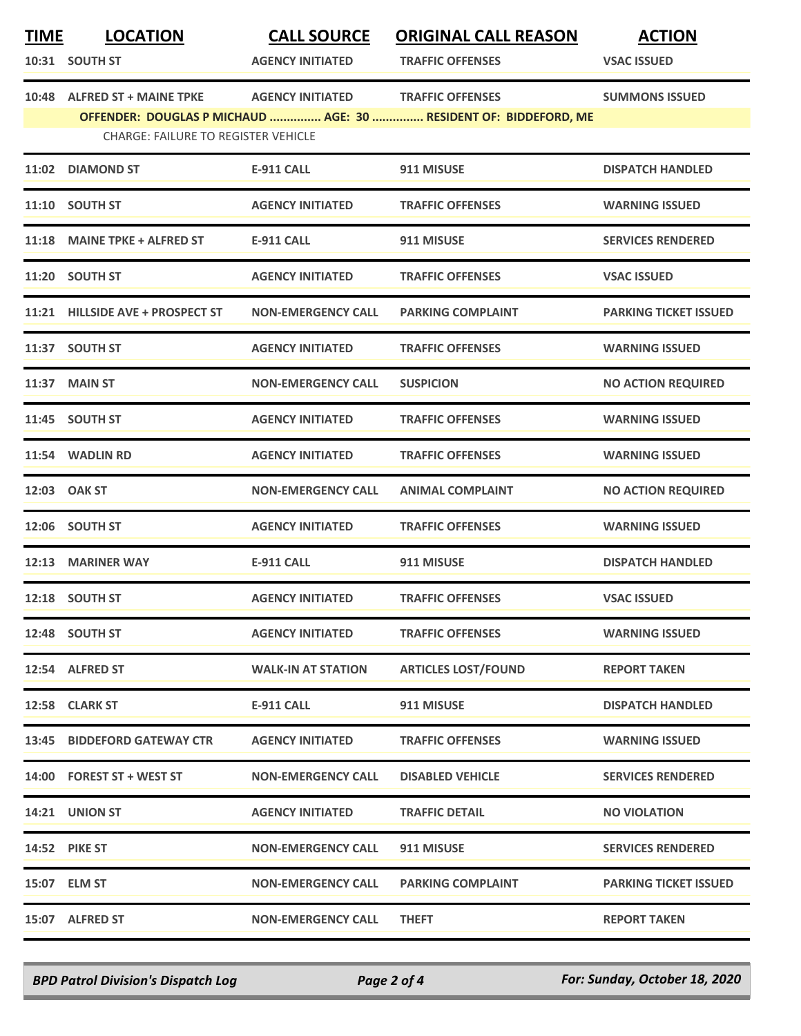| <b>TIME</b> | <b>LOCATION</b>                            | <b>CALL SOURCE</b>        | <b>ORIGINAL CALL REASON</b>                                                                 | <b>ACTION</b>                |
|-------------|--------------------------------------------|---------------------------|---------------------------------------------------------------------------------------------|------------------------------|
|             | 10:31 SOUTH ST                             | <b>AGENCY INITIATED</b>   | <b>TRAFFIC OFFENSES</b>                                                                     | <b>VSAC ISSUED</b>           |
|             | 10:48 ALFRED ST + MAINE TPKE               | <b>AGENCY INITIATED</b>   | <b>TRAFFIC OFFENSES</b><br>OFFENDER: DOUGLAS P MICHAUD  AGE: 30  RESIDENT OF: BIDDEFORD, ME | <b>SUMMONS ISSUED</b>        |
|             | <b>CHARGE: FAILURE TO REGISTER VEHICLE</b> |                           |                                                                                             |                              |
|             | 11:02 DIAMOND ST                           | <b>E-911 CALL</b>         | 911 MISUSE                                                                                  | <b>DISPATCH HANDLED</b>      |
|             | 11:10 SOUTH ST                             | <b>AGENCY INITIATED</b>   | <b>TRAFFIC OFFENSES</b>                                                                     | <b>WARNING ISSUED</b>        |
|             | 11:18 MAINE TPKE + ALFRED ST               | <b>E-911 CALL</b>         | 911 MISUSE                                                                                  | <b>SERVICES RENDERED</b>     |
|             | 11:20 SOUTH ST                             | <b>AGENCY INITIATED</b>   | <b>TRAFFIC OFFENSES</b>                                                                     | <b>VSAC ISSUED</b>           |
|             | 11:21 HILLSIDE AVE + PROSPECT ST           | <b>NON-EMERGENCY CALL</b> | <b>PARKING COMPLAINT</b>                                                                    | <b>PARKING TICKET ISSUED</b> |
|             | 11:37 SOUTH ST                             | <b>AGENCY INITIATED</b>   | <b>TRAFFIC OFFENSES</b>                                                                     | <b>WARNING ISSUED</b>        |
|             | 11:37 MAIN ST                              | <b>NON-EMERGENCY CALL</b> | <b>SUSPICION</b>                                                                            | <b>NO ACTION REQUIRED</b>    |
|             | 11:45 SOUTH ST                             | <b>AGENCY INITIATED</b>   | <b>TRAFFIC OFFENSES</b>                                                                     | <b>WARNING ISSUED</b>        |
|             | 11:54 WADLIN RD                            | <b>AGENCY INITIATED</b>   | <b>TRAFFIC OFFENSES</b>                                                                     | <b>WARNING ISSUED</b>        |
|             | 12:03 OAK ST                               | <b>NON-EMERGENCY CALL</b> | <b>ANIMAL COMPLAINT</b>                                                                     | <b>NO ACTION REQUIRED</b>    |
|             | 12:06 SOUTH ST                             | <b>AGENCY INITIATED</b>   | <b>TRAFFIC OFFENSES</b>                                                                     | <b>WARNING ISSUED</b>        |
|             | 12:13 MARINER WAY                          | <b>E-911 CALL</b>         | 911 MISUSE                                                                                  | <b>DISPATCH HANDLED</b>      |
|             | 12:18 SOUTH ST                             | <b>AGENCY INITIATED</b>   | <b>TRAFFIC OFFENSES</b>                                                                     | <b>VSAC ISSUED</b>           |
|             | 12:48 SOUTH ST                             | <b>AGENCY INITIATED</b>   | <b>TRAFFIC OFFENSES</b>                                                                     | <b>WARNING ISSUED</b>        |
|             | 12:54 ALFRED ST                            | <b>WALK-IN AT STATION</b> | <b>ARTICLES LOST/FOUND</b>                                                                  | <b>REPORT TAKEN</b>          |
|             | 12:58 CLARK ST                             | E-911 CALL                | 911 MISUSE                                                                                  | <b>DISPATCH HANDLED</b>      |
|             | 13:45 BIDDEFORD GATEWAY CTR                | <b>AGENCY INITIATED</b>   | <b>TRAFFIC OFFENSES</b>                                                                     | <b>WARNING ISSUED</b>        |
|             | 14:00 FOREST ST + WEST ST                  | <b>NON-EMERGENCY CALL</b> | <b>DISABLED VEHICLE</b>                                                                     | <b>SERVICES RENDERED</b>     |
|             | 14:21 UNION ST                             | <b>AGENCY INITIATED</b>   | <b>TRAFFIC DETAIL</b>                                                                       | <b>NO VIOLATION</b>          |
|             | <b>14:52 PIKE ST</b>                       | <b>NON-EMERGENCY CALL</b> | 911 MISUSE                                                                                  | <b>SERVICES RENDERED</b>     |
|             | 15:07 ELM ST                               | <b>NON-EMERGENCY CALL</b> | <b>PARKING COMPLAINT</b>                                                                    | <b>PARKING TICKET ISSUED</b> |
|             | 15:07 ALFRED ST                            | <b>NON-EMERGENCY CALL</b> | <b>THEFT</b>                                                                                | <b>REPORT TAKEN</b>          |

*BPD Patrol Division's Dispatch Log Page 2 of 4 For: Sunday, October 18, 2020*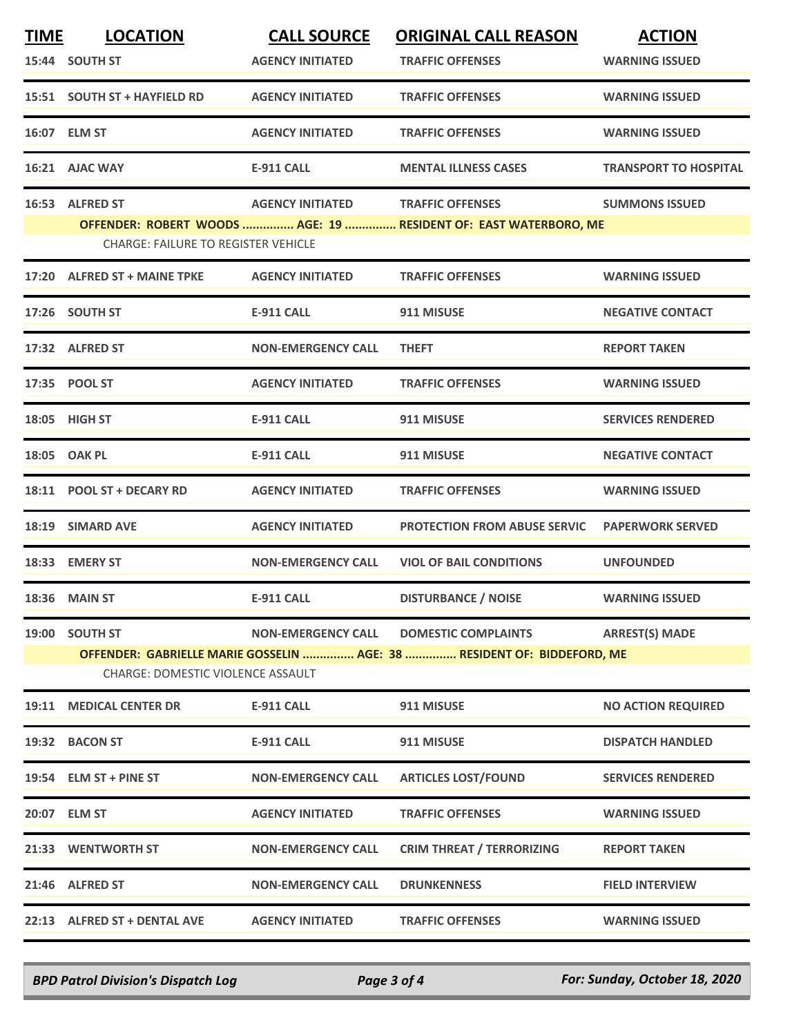| <b>TIME</b> | <b>LOCATION</b>                            | <b>CALL SOURCE</b>        | <b>ORIGINAL CALL REASON</b>                                             | <b>ACTION</b>                |
|-------------|--------------------------------------------|---------------------------|-------------------------------------------------------------------------|------------------------------|
|             | 15:44 SOUTH ST                             | <b>AGENCY INITIATED</b>   | <b>TRAFFIC OFFENSES</b>                                                 | <b>WARNING ISSUED</b>        |
|             | 15:51 SOUTH ST + HAYFIELD RD               | <b>AGENCY INITIATED</b>   | <b>TRAFFIC OFFENSES</b>                                                 | <b>WARNING ISSUED</b>        |
|             | 16:07 ELM ST                               | <b>AGENCY INITIATED</b>   | <b>TRAFFIC OFFENSES</b>                                                 | <b>WARNING ISSUED</b>        |
|             | 16:21 AJAC WAY                             | <b>E-911 CALL</b>         | <b>MENTAL ILLNESS CASES</b>                                             | <b>TRANSPORT TO HOSPITAL</b> |
|             | 16:53 ALFRED ST                            | <b>AGENCY INITIATED</b>   | <b>TRAFFIC OFFENSES</b>                                                 | <b>SUMMONS ISSUED</b>        |
|             | <b>CHARGE: FAILURE TO REGISTER VEHICLE</b> |                           | OFFENDER: ROBERT WOODS  AGE: 19  RESIDENT OF: EAST WATERBORO, ME        |                              |
|             | 17:20 ALFRED ST + MAINE TPKE               | <b>AGENCY INITIATED</b>   | <b>TRAFFIC OFFENSES</b>                                                 | <b>WARNING ISSUED</b>        |
|             | 17:26 SOUTH ST                             | <b>E-911 CALL</b>         | 911 MISUSE                                                              | <b>NEGATIVE CONTACT</b>      |
|             | 17:32 ALFRED ST                            | <b>NON-EMERGENCY CALL</b> | <b>THEFT</b>                                                            | <b>REPORT TAKEN</b>          |
|             | 17:35 POOL ST                              | <b>AGENCY INITIATED</b>   | <b>TRAFFIC OFFENSES</b>                                                 | <b>WARNING ISSUED</b>        |
|             | 18:05 HIGH ST                              | <b>E-911 CALL</b>         | 911 MISUSE                                                              | <b>SERVICES RENDERED</b>     |
|             | 18:05 OAK PL                               | <b>E-911 CALL</b>         | 911 MISUSE                                                              | <b>NEGATIVE CONTACT</b>      |
|             | 18:11 POOL ST + DECARY RD                  | <b>AGENCY INITIATED</b>   | <b>TRAFFIC OFFENSES</b>                                                 | <b>WARNING ISSUED</b>        |
| 18:19       | <b>SIMARD AVE</b>                          | <b>AGENCY INITIATED</b>   | <b>PROTECTION FROM ABUSE SERVIC</b>                                     | <b>PAPERWORK SERVED</b>      |
|             | 18:33 EMERY ST                             | <b>NON-EMERGENCY CALL</b> | <b>VIOL OF BAIL CONDITIONS</b>                                          | <b>UNFOUNDED</b>             |
|             | <b>18:36 MAIN ST</b>                       | <b>E-911 CALL</b>         | <b>DISTURBANCE / NOISE</b>                                              | <b>WARNING ISSUED</b>        |
|             | 19:00 SOUTH ST                             | <b>NON-EMERGENCY CALL</b> | <b>DOMESTIC COMPLAINTS</b>                                              | <b>ARREST(S) MADE</b>        |
|             | <b>CHARGE: DOMESTIC VIOLENCE ASSAULT</b>   |                           | OFFENDER: GABRIELLE MARIE GOSSELIN  AGE: 38  RESIDENT OF: BIDDEFORD, ME |                              |
|             | 19:11 MEDICAL CENTER DR                    | <b>E-911 CALL</b>         | 911 MISUSE                                                              | <b>NO ACTION REQUIRED</b>    |
|             | 19:32 BACON ST                             | E-911 CALL                | 911 MISUSE                                                              | <b>DISPATCH HANDLED</b>      |
|             | 19:54 ELM ST + PINE ST                     | <b>NON-EMERGENCY CALL</b> | <b>ARTICLES LOST/FOUND</b>                                              | <b>SERVICES RENDERED</b>     |
|             | 20:07 ELM ST                               | <b>AGENCY INITIATED</b>   | <b>TRAFFIC OFFENSES</b>                                                 | <b>WARNING ISSUED</b>        |
|             | 21:33 WENTWORTH ST                         | <b>NON-EMERGENCY CALL</b> | <b>CRIM THREAT / TERRORIZING</b>                                        | <b>REPORT TAKEN</b>          |
|             | 21:46 ALFRED ST                            | <b>NON-EMERGENCY CALL</b> | <b>DRUNKENNESS</b>                                                      | <b>FIELD INTERVIEW</b>       |
|             | 22:13 ALFRED ST + DENTAL AVE               | <b>AGENCY INITIATED</b>   | <b>TRAFFIC OFFENSES</b>                                                 | <b>WARNING ISSUED</b>        |

*BPD Patrol Division's Dispatch Log Page 3 of 4 For: Sunday, October 18, 2020*